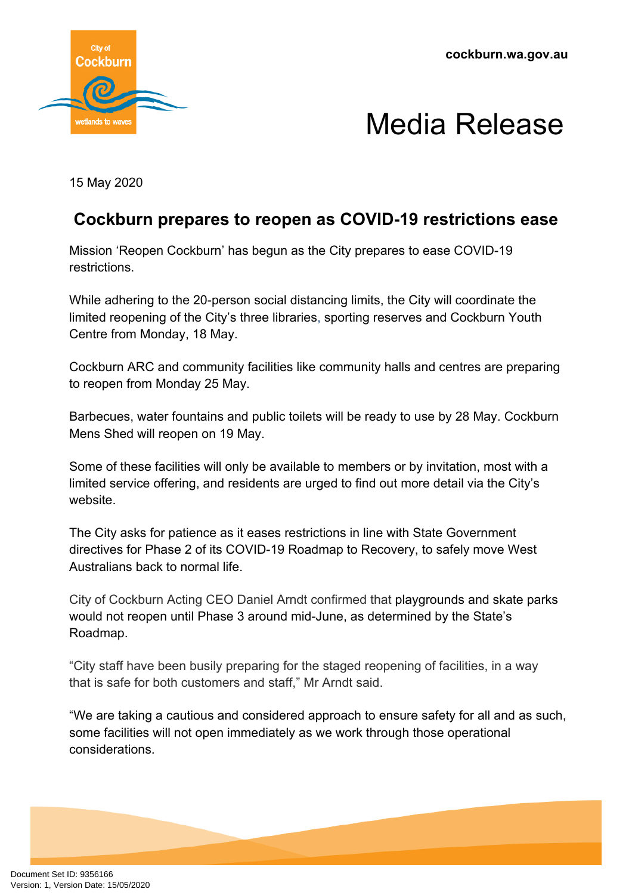**cockburn.wa.gov.au**



## Media Release

15 May 2020

## **Cockburn prepares to reopen as COVID-19 restrictions ease**

Mission 'Reopen Cockburn' has begun as the City prepares to ease COVID-19 restrictions.

While adhering to the 20-person social distancing limits, the City will coordinate the limited reopening of the City's three libraries, sporting reserves and Cockburn Youth Centre from Monday, 18 May.

Cockburn ARC and community facilities like community halls and centres are preparing to reopen from Monday 25 May.

Barbecues, water fountains and public toilets will be ready to use by 28 May. Cockburn Mens Shed will reopen on 19 May.

Some of these facilities will only be available to members or by invitation, most with a limited service offering, and residents are urged to find out more detail via the City's website.

The City asks for patience as it eases restrictions in line with State Government directives for Phase 2 of its COVID-19 Roadmap to Recovery, to safely move West Australians back to normal life.

City of Cockburn Acting CEO Daniel Arndt confirmed that playgrounds and skate parks would not reopen until Phase 3 around mid-June, as determined by the State's Roadmap.

"City staff have been busily preparing for the staged reopening of facilities, in a way that is safe for both customers and staff," Mr Arndt said.

"We are taking a cautious and considered approach to ensure safety for all and as such, some facilities will not open immediately as we work through those operational considerations.